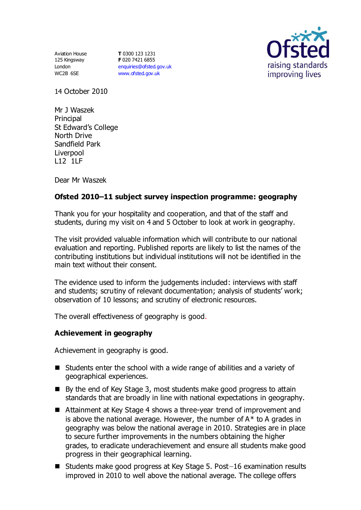Aviation House 125 Kingsway London WC2B 6SE

**T** 0300 123 1231 **F** 020 7421 6855 [enquiries@ofsted.gov.uk](mailto:enquiries@ofsted.gov.uk) [www.ofsted.gov.uk](http://www.ofsted.gov.uk/)



14 October 2010

Mr J Waszek **Principal** St Edward's College North Drive Sandfield Park Liverpool L12 1LF

Dear Mr Waszek

# **Ofsted 2010–11 subject survey inspection programme: geography**

Thank you for your hospitality and cooperation, and that of the staff and students, during my visit on 4 and 5 October to look at work in geography.

The visit provided valuable information which will contribute to our national evaluation and reporting. Published reports are likely to list the names of the contributing institutions but individual institutions will not be identified in the main text without their consent.

The evidence used to inform the judgements included: interviews with staff and students; scrutiny of relevant documentation; analysis of students' work; observation of 10 lessons; and scrutiny of electronic resources.

The overall effectiveness of geography is good.

## **Achievement in geography**

Achievement in geography is good.

- Students enter the school with a wide range of abilities and a variety of geographical experiences.
- By the end of Key Stage 3, most students make good progress to attain standards that are broadly in line with national expectations in geography.
- Attainment at Key Stage 4 shows a three-year trend of improvement and is above the national average. However, the number of  $A^*$  to A grades in geography was below the national average in 2010. Strategies are in place to secure further improvements in the numbers obtaining the higher grades, to eradicate underachievement and ensure all students make good progress in their geographical learning.
- Students make good progress at Key Stage 5. Post-16 examination results improved in 2010 to well above the national average. The college offers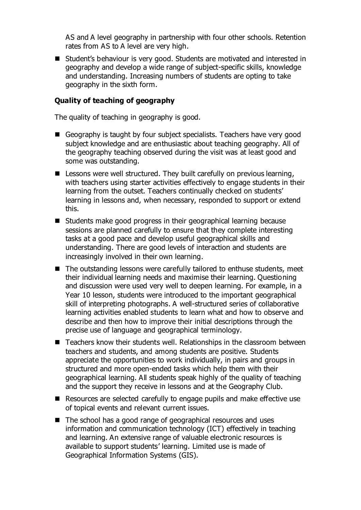AS and A level geography in partnership with four other schools. Retention rates from AS to A level are very high.

■ Student's behaviour is very good. Students are motivated and interested in geography and develop a wide range of subject-specific skills, knowledge and understanding. Increasing numbers of students are opting to take geography in the sixth form.

#### **Quality of teaching of geography**

The quality of teaching in geography is good.

- Geography is taught by four subject specialists. Teachers have very good subject knowledge and are enthusiastic about teaching geography. All of the geography teaching observed during the visit was at least good and some was outstanding.
- Lessons were well structured. They built carefully on previous learning, with teachers using starter activities effectively to engage students in their learning from the outset. Teachers continually checked on students' learning in lessons and, when necessary, responded to support or extend this.
- Students make good progress in their geographical learning because sessions are planned carefully to ensure that they complete interesting tasks at a good pace and develop useful geographical skills and understanding. There are good levels of interaction and students are increasingly involved in their own learning.
- The outstanding lessons were carefully tailored to enthuse students, meet their individual learning needs and maximise their learning. Questioning and discussion were used very well to deepen learning. For example, in a Year 10 lesson, students were introduced to the important geographical skill of interpreting photographs. A well-structured series of collaborative learning activities enabled students to learn what and how to observe and describe and then how to improve their initial descriptions through the precise use of language and geographical terminology.
- Teachers know their students well. Relationships in the classroom between teachers and students, and among students are positive. Students appreciate the opportunities to work individually, in pairs and groups in structured and more open-ended tasks which help them with their geographical learning. All students speak highly of the quality of teaching and the support they receive in lessons and at the Geography Club.
- Resources are selected carefully to engage pupils and make effective use of topical events and relevant current issues.
- The school has a good range of geographical resources and uses information and communication technology (ICT) effectively in teaching and learning. An extensive range of valuable electronic resources is available to support students' learning. Limited use is made of Geographical Information Systems (GIS).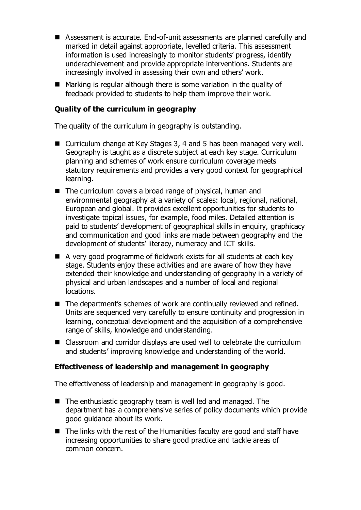- Assessment is accurate. End-of-unit assessments are planned carefully and marked in detail against appropriate, levelled criteria. This assessment information is used increasingly to monitor students' progress, identify underachievement and provide appropriate interventions. Students are increasingly involved in assessing their own and others' work.
- Marking is regular although there is some variation in the quality of feedback provided to students to help them improve their work.

## **Quality of the curriculum in geography**

The quality of the curriculum in geography is outstanding.

- Curriculum change at Key Stages 3, 4 and 5 has been managed very well. Geography is taught as a discrete subject at each key stage. Curriculum planning and schemes of work ensure curriculum coverage meets statutory requirements and provides a very good context for geographical learning.
- The curriculum covers a broad range of physical, human and environmental geography at a variety of scales: local, regional, national, European and global. It provides excellent opportunities for students to investigate topical issues, for example, food miles. Detailed attention is paid to students' development of geographical skills in enquiry, graphicacy and communication and good links are made between geography and the development of students' literacy, numeracy and ICT skills.
- A very good programme of fieldwork exists for all students at each key stage. Students enjoy these activities and are aware of how they have extended their knowledge and understanding of geography in a variety of physical and urban landscapes and a number of local and regional locations.
- The department's schemes of work are continually reviewed and refined. Units are sequenced very carefully to ensure continuity and progression in learning, conceptual development and the acquisition of a comprehensive range of skills, knowledge and understanding.
- Classroom and corridor displays are used well to celebrate the curriculum and students' improving knowledge and understanding of the world.

## **Effectiveness of leadership and management in geography**

The effectiveness of leadership and management in geography is good.

- The enthusiastic geography team is well led and managed. The department has a comprehensive series of policy documents which provide good guidance about its work.
- The links with the rest of the Humanities faculty are good and staff have increasing opportunities to share good practice and tackle areas of common concern.